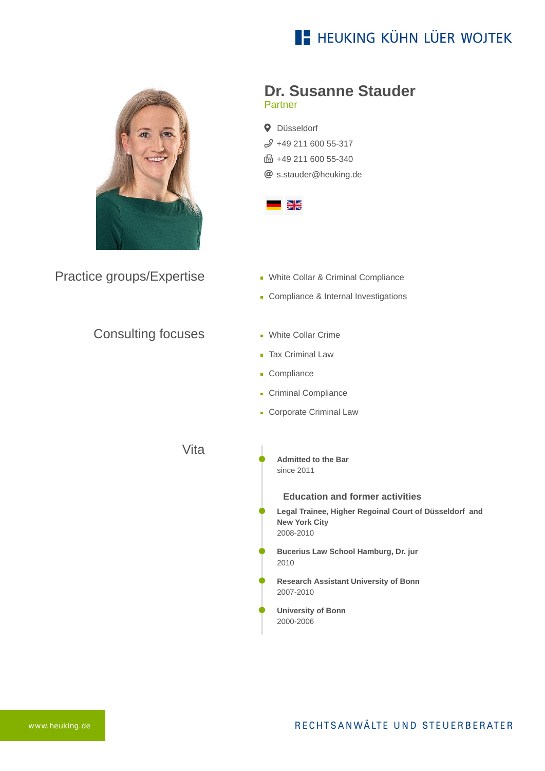## **E- HEUKING KÜHN LÜER WOJTEK**



Practice groups/Expertise

### **Dr. Susanne Stauder** Partner

**Q** Düsseldorf  $$49$  211 600 55-317 ft +49 211 600 55-340 [s.stauder@heuking.de](mailto:s.stauder@heuking.de?subject=Contact%20via%20website%20heuking.de)



- **White Collar & Criminal Compliance**
- Compliance & Internal Investigations

Consulting focuses

- **White Collar Crime**
- **Tax Criminal Law**
- **Compliance**
- Criminal Compliance
- **Corporate Criminal Law**

Vita

**Admitted to the Bar**  since 2011

### **Education and former activities**

**Legal Trainee, Higher Regoinal Court of Düsseldorf and New York City** 2008-2010

- **Bucerius Law School Hamburg, Dr. jur** 2010
- **Research Assistant University of Bonn** 2007-2010
- **University of Bonn** 2000-2006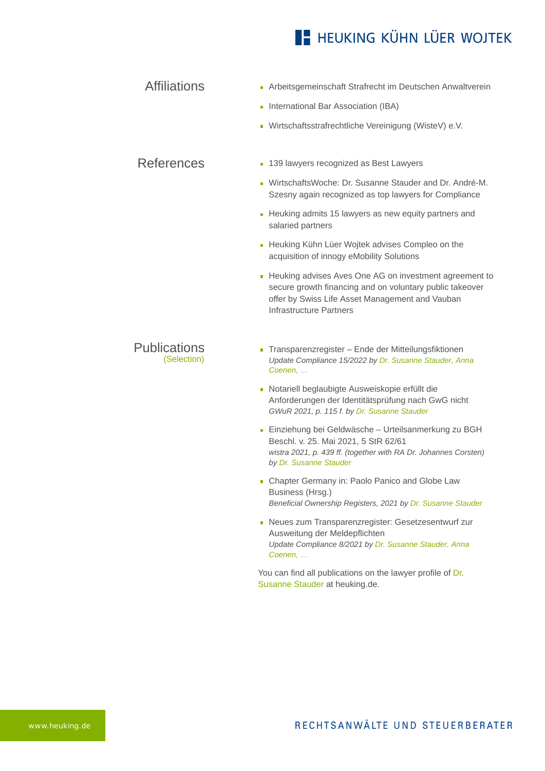### **E- HEUKING KÜHN LÜER WOJTEK**

| <b>Affiliations</b> | Arbeitsgemeinschaft Strafrecht im Deutschen Anwaltverein |
|---------------------|----------------------------------------------------------|
|                     | • International Bar Association (IBA)                    |
|                     | - Wirtschaftsstrafrechtliche Vereinigung (WisteV) e.V.   |
|                     |                                                          |

#### **[139 lawyers recognized as Best Lawyers](https://www.heuking.de/en/lawyers/detail/pdf-download.html?lawyer=366&cHash=6ada5ba29eba79010deae4ae10bc3bdc)**

- [WirtschaftsWoche: Dr. Susanne Stauder and Dr. André-M.](https://www.heuking.de/en/lawyers/detail/pdf-download.html?lawyer=366&cHash=6ada5ba29eba79010deae4ae10bc3bdc) Szesny again recognized as top lawyers for Compliance
- [Heuking admits 15 lawyers as new equity partners and](https://www.heuking.de/en/lawyers/detail/pdf-download.html?lawyer=366&cHash=6ada5ba29eba79010deae4ae10bc3bdc) salaried partners
- **[Heuking Kühn Lüer Wojtek advises Compleo on the](https://www.heuking.de/en/lawyers/detail/pdf-download.html?lawyer=366&cHash=6ada5ba29eba79010deae4ae10bc3bdc)** acquisition of innogy eMobility Solutions
- [Heuking advises Aves One AG on investment agreement to](https://www.heuking.de/en/lawyers/detail/pdf-download.html?lawyer=366&cHash=6ada5ba29eba79010deae4ae10bc3bdc) secure growth financing and on voluntary public takeover offer by Swiss Life Asset Management and Vauban Infrastructure Partners

#### **Publications** (Selection)

References

- Transparenzregister Ende der Mitteilungsfiktionen *Update Compliance 15/2022 by Dr. Susanne Stauder, Anna Coenen, …*
- Notariell beglaubigte Ausweiskopie erfüllt die Anforderungen der Identitätsprüfung nach GwG nicht *GWuR 2021, p. 115 f. by Dr. Susanne Stauder*
- Einziehung bei Geldwäsche Urteilsanmerkung zu BGH Beschl. v. 25. Mai 2021, 5 StR 62/61 *wistra 2021, p. 439 ff. (together with RA Dr. Johannes Corsten) by Dr. Susanne Stauder*
- **Chapter Germany in: Paolo Panico and Globe Law** Business (Hrsg.) *Beneficial Ownership Registers, 2021 by Dr. Susanne Stauder*
- Neues zum Transparenzregister: Gesetzesentwurf zur Ausweitung der Meldepflichten *Update Compliance 8/2021 by Dr. Susanne Stauder, Anna Coenen, …*

[You can find all publications on the lawyer profile of Dr.](https://www.heuking.de/en/lawyers/detail/dr-susanne-stauder-geb-fischer.html) Susanne Stauder at heuking.de.